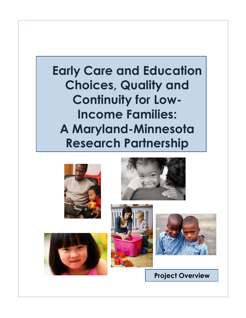# **Early Care and Education Choices, Quality and Continuity for Low-Income Families: A Maryland-Minnesota Research Partnership**









**Project Overview**

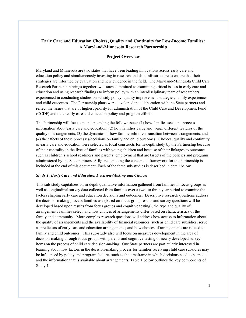# **Early Care and Education Choices, Quality and Continuity for Low-Income Families: A Maryland-Minnesota Research Partnership**

# **Project Overview**

Maryland and Minnesota are two states that have been leading innovations across early care and education policy and simultaneously investing in research and data infrastructure to ensure that their strategies are informed by evaluation and new evidence in the field. The Maryland-Minnesota Child Care Research Partnership brings together two states committed to examining critical issues in early care and education and using research findings to inform policy with an interdisciplinary team of researchers experienced in conducting studies on subsidy policy, quality improvement strategies, family experiences and child outcomes. The Partnership plans were developed in collaboration with the State partners and reflect the issues that are of highest priority for administration of the Child Care and Development Fund (CCDF) and other early care and education policy and program efforts.

The Partnership will focus on understanding the follow issues: (1) how families seek and process information about early care and education, (2) how families value and weigh different features of the quality of arrangements, (3) the dynamics of how families/children transition between arrangements, and (4) the effects of these processes/decisions on family and child outcomes. Choices, quality and continuity of early care and education were selected as focal constructs for in-depth study by the Partnership because of their centrality in the lives of families with young children and because of their linkages to outcomes such as children's school readiness and parents' employment that are targets of the policies and programs administered by the State partners. A figure depicting the conceptual framework for the Partnership is included at the end of this document. Each of the three sub-studies is described in detail below.

#### *Study 1: Early Care and Education Decision-Making and Choices*

This sub-study capitalizes on in-depth qualitative information gathered from families in focus groups as well as longitudinal survey data collected from families over a two- to three-year period to examine the factors shaping early care and education decisions and outcomes. Descriptive research questions address the decision-making process families use (based on focus group results and survey questions will be developed based upon results from focus groups and cognitive testing), the type and quality of arrangements families select, and how choices of arrangements differ based on characteristics of the family and community. More complex research questions will address how access to information about the quality of arrangements and the availability of financial resources, such as child care subsidies, serve as predictors of early care and education arrangements; and how choices of arrangements are related to family and child outcomes. This sub-study also will focus on measures development in the area of decision-making through focus groups with parents and cognitive testing of newly developed survey items on the process of child care decision-making. Our State partners are particularly interested in learning about how factors in the decision-making process for families receiving child care subsidies may be influenced by policy and program features such as the timeframe in which decisions need to be made and the information that is available about arrangements. Table 1 below outlines the key components of Study 1.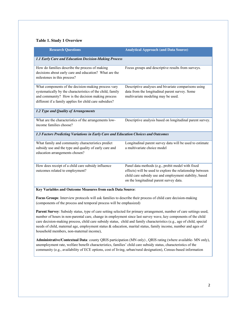# **Table 1. Study 1 Overview**

| <b>Research Questions</b>                                                                                                                                                                                                         | <b>Analytical Approach (and Data Source)</b>                                                                                                                                                                        |
|-----------------------------------------------------------------------------------------------------------------------------------------------------------------------------------------------------------------------------------|---------------------------------------------------------------------------------------------------------------------------------------------------------------------------------------------------------------------|
| 1.1 Early Care and Education Decision-Making Process                                                                                                                                                                              |                                                                                                                                                                                                                     |
| How do families describe the process of making<br>decisions about early care and education? What are the<br>milestones in this process?                                                                                           | Focus groups and descriptive results from surveys.                                                                                                                                                                  |
| What components of the decision-making process vary<br>systematically by the characteristics of the child, family<br>and community? How is the decision making process<br>different if a family applies for child care subsidies? | Descriptive analyses and bivariate comparisons using<br>data from the longitudinal parent survey. Some<br>multivariate modeling may be used.                                                                        |
| 1.2 Type and Quality of Arrangements                                                                                                                                                                                              |                                                                                                                                                                                                                     |
| What are the characteristics of the arrangements low-<br>income families choose?                                                                                                                                                  | Descriptive analysis based on longitudinal parent survey.                                                                                                                                                           |
| 1.3 Factors Predicting Variations in Early Care and Education Choices and Outcomes                                                                                                                                                |                                                                                                                                                                                                                     |
| What family and community characteristics predict<br>subsidy use and the type and quality of early care and<br>education arrangements chosen?                                                                                     | Longitudinal parent survey data will be used to estimate<br>a multivariate choice model                                                                                                                             |
| How does receipt of a child care subsidy influence<br>outcomes related to employment?                                                                                                                                             | Panel data methods (e.g., probit model with fixed<br>effects) will be used to explore the relationship between<br>child care subsidy use and employment stability, based<br>on the longitudinal parent survey data. |
| Key Variables and Outcome Measures from each Data Source:                                                                                                                                                                         |                                                                                                                                                                                                                     |

**Focus Groups**: Interview protocols will ask families to describe their process of child care decision-making (components of the process and temporal process will be emphasized)

**Parent Survey**: Subsidy status, type of care setting selected for primary arrangement, number of care settings used, number of hours in non-parental care, change in employment since last survey wave, key components of the child care decision-making process, child care subsidy status, child and family characteristics (e.g., age of child, special needs of child, maternal age, employment status & education, marital status, family income, number and ages of household members, non-maternal income),

**Administrative/Contextual Data**: county QRIS participation (MN only) , QRIS rating (where available- MN only), unemployment rate, welfare benefit characteristics, families' child care subsidy status, characteristics of the community (e.g., availability of ECE options, cost of living, urban/rural designation), Census-based information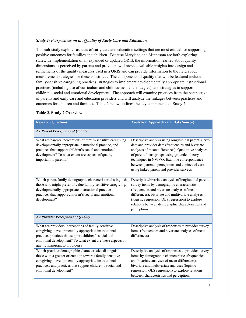#### *Study 2: Perspectives on the Quality of Early Care and Education*

This sub-study explores aspects of early care and education settings that are most critical for supporting positive outcomes for families and children. Because Maryland and Minnesota are both exploring statewide implementation of an expanded or updated QRIS, the information learned about quality dimensions as perceived by parents and providers will provide valuable insights into design and refinements of the quality measures used in a QRIS and can provide information to the field about measurement strategies for these constructs. The components of quality that will be featured include family-sensitive caregiving practices, strategies to implement developmentally appropriate instructional practices (including use of curriculum and child assessment strategies), and strategies to support children's social and emotional development. The approach will examine practices from the perspective of parents and early care and education providers and will analyze the linkages between practices and outcomes for children and families. Table 2 below outlines the key components of Study 2.

# **Table 2. Study 2 Overview**

| <b>Research Questions</b>                                                                                                                                                                                                                                               | <b>Analytical Approach (and Data Source)</b>                                                                                                                                                                                                                                                                                                                     |  |
|-------------------------------------------------------------------------------------------------------------------------------------------------------------------------------------------------------------------------------------------------------------------------|------------------------------------------------------------------------------------------------------------------------------------------------------------------------------------------------------------------------------------------------------------------------------------------------------------------------------------------------------------------|--|
| 2.1 Parent Perceptions of Quality                                                                                                                                                                                                                                       |                                                                                                                                                                                                                                                                                                                                                                  |  |
| What are parents' perceptions of family-sensitive caregiving,<br>developmentally appropriate instructional practice, and<br>practices that support children's social and emotional<br>development? To what extent are aspects of quality<br>important to parents?       | Descriptive analysis using longitudinal parent survey<br>data and provider data (frequencies and bivariate<br>analyses of mean differences); Qualitative analyses<br>of parent focus groups using grounded theory<br>techniques in NVIVO; Examine correspondence<br>between parental perceptions and choices of care<br>using linked parent and provider surveys |  |
| Which parent/family demographic characteristics distinguish<br>those who might prefer or value family-sensitive caregiving,<br>developmentally appropriate instructional practices,<br>practices that support children's social and emotional<br>development?           | Descriptive/bivariate analysis of longitudinal parent<br>survey items by demographic characteristic<br>(frequencies and bivariate analyses of mean<br>differences); bivariate and multivariate analyses<br>(logistic regression, OLS regression) to explore<br>relations between demographic characteristics and<br>perceptions.                                 |  |
| 2.2 Provider Perceptions of Quality                                                                                                                                                                                                                                     |                                                                                                                                                                                                                                                                                                                                                                  |  |
| What are providers' perceptions of family-sensitive<br>caregiving, developmentally appropriate instructional<br>practice, practices that support children's social and<br>emotional development? To what extent are these aspects of<br>quality important to providers? | Descriptive analysis of responses to provider survey<br>items (frequencies and bivariate analyses of mean<br>differences)                                                                                                                                                                                                                                        |  |
| Which provider demographic characteristics distinguish<br>those with a greater orientation towards family-sensitive<br>caregiving, developmentally appropriate instructional<br>practices, and practices that support children's social and<br>emotional development?   | Descriptive analysis of responses to provider survey<br>items by demographic characteristic (frequencies<br>and bivariate analyses of mean differences);<br>bivariate and multivariate analyses (logistic<br>regression, OLS regression) to explore relations<br>between characteristics and perceptions                                                         |  |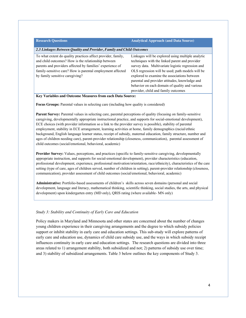| <b>Research Questions</b>                                                                                                                                                                                                                                                         | <b>Analytical Approach (and Data Source)</b>                                                                                                                                                                                                                                                                                                                                                            |
|-----------------------------------------------------------------------------------------------------------------------------------------------------------------------------------------------------------------------------------------------------------------------------------|---------------------------------------------------------------------------------------------------------------------------------------------------------------------------------------------------------------------------------------------------------------------------------------------------------------------------------------------------------------------------------------------------------|
| 2.3 Linkages Between Quality and Provider, Family and Child Outcomes                                                                                                                                                                                                              |                                                                                                                                                                                                                                                                                                                                                                                                         |
| To what extent do quality practices affect provider, family,<br>and child outcomes? How is the relationship between<br>parents and providers affected by families' experience of<br>family-sensitive care? How is parental employment affected<br>by family sensitive caregiving? | Linkages will be explored using multiple analytic<br>techniques with the linked parent and provider<br>survey data. Multivariate logistic regression and<br>OLS regression will be used; path models will be<br>explored to examine the associations between<br>parental and provider attitudes, knowledge and<br>behavior on each domain of quality and various<br>provider, child and family outcomes |

**Key Variables and Outcome Measures from each Data Source:**

**Focus Groups:** Parental values in selecting care (including how quality is considered)

**Parent Survey:** Parental values in selecting care, parental perceptions of quality (focusing on family-sensitive caregiving, developmentally appropriate instructional practice, and supports for social-emotional development), ECE choices (with provider information so a link to the provider survey is possible), stability of parental employment, stability in ECE arrangement, learning activities at home, family demographics (racial/ethnic background, English language learner status, receipt of subsidy, maternal education, family structure, number and ages of children needing care), parent-provider relationship (closeness, communication), parental assessment of child outcomes (social/emotional, behavioral, academic)

**Provider Survey:** Values, perceptions, and practices (specific to family-sensitive caregiving, developmentally appropriate instruction, and supports for social-emotional development), provider characteristics (education, professional development, experience, professional motivation/orientation, race/ethnicity), characteristics of the care setting (type of care, ages of children served, number of children in setting), parent-provider relationship (closeness, communication), provider assessment of child outcomes (social/emotional, behavioral, academic)

**Administrative:** Portfolio-based assessments of children's skills across seven domains (personal and social development, language and literacy, mathematical thinking, scientific thinking, social studies, the arts, and physical development) upon kindergarten entry (MD only), QRIS rating (where available- MN only)

#### *Study 3: Stability and Continuity of Early Care and Education*

Policy makers in Maryland and Minnesota and other states are concerned about the number of changes young children experience in their caregiving arrangements and the degree to which subsidy policies support or inhibit stability in early care and education settings. This sub-study will explore patterns of early care and education use, dynamics of child care subsidy use, and the ways in which subsidy receipt influences continuity in early care and education settings. The research questions are divided into three areas related to 1) arrangement stability, both subsidized and not; 2) patterns of subsidy use over time; and 3) stability of subsidized arrangements. Table 3 below outlines the key components of Study 3.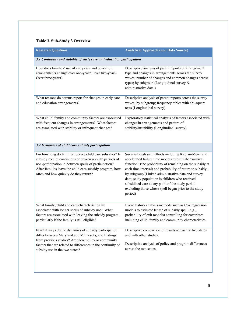# **Table 3. Sub-Study 3 Overview**

| <b>Research Questions</b>                                                                                                                                                                                                                                                          | <b>Analytical Approach (and Data Source)</b>                                                                                                                                                                                                                                                                                                                                                                                                                             |  |  |
|------------------------------------------------------------------------------------------------------------------------------------------------------------------------------------------------------------------------------------------------------------------------------------|--------------------------------------------------------------------------------------------------------------------------------------------------------------------------------------------------------------------------------------------------------------------------------------------------------------------------------------------------------------------------------------------------------------------------------------------------------------------------|--|--|
| 3.1 Continuity and stability of early care and education participation                                                                                                                                                                                                             |                                                                                                                                                                                                                                                                                                                                                                                                                                                                          |  |  |
| How does families' use of early care and education<br>arrangements change over one-year? Over two-years?<br>Over three-years?                                                                                                                                                      | Descriptive analysis of parent reports of arrangement<br>type and changes in arrangements across the survey<br>waves; number of changes and common changes across<br>types; by subgroup (Longitudinal survey &<br>administrative data)                                                                                                                                                                                                                                   |  |  |
| What reasons do parents report for changes in early care<br>and education arrangements?                                                                                                                                                                                            | Descriptive analysis of parent reports across the survey<br>waves; by subgroup; frequency tables with chi-square<br>tests (Longitudinal survey)                                                                                                                                                                                                                                                                                                                          |  |  |
| What child, family and community factors are associated<br>with frequent changes in arrangements? What factors<br>are associated with stability or infrequent changes?                                                                                                             | Exploratory statistical analysis of factors associated with<br>changes in arrangements and pattern of<br>stability/instability (Longitudinal survey)                                                                                                                                                                                                                                                                                                                     |  |  |
| 3.2 Dynamics of child care subsidy participation                                                                                                                                                                                                                                   |                                                                                                                                                                                                                                                                                                                                                                                                                                                                          |  |  |
| For how long do families receive child care subsidies? Is<br>subsidy receipt continuous or broken up with periods of<br>non-participation in between spells of participation?<br>After families leave the child care subsidy program, how<br>often and how quickly do they return? | Survival analysis methods including Kaplan-Meier and<br>accelerated failure time models to estimate "survival<br>function" (the probability of remaining on the subsidy at<br>each time interval) and probability of return to subsidy;<br>by subgroup (Linked administrative data and survey<br>data; study population is children who received<br>subsidized care at any point of the study period-<br>excluding those whose spell began prior to the study<br>period) |  |  |
| What family, child and care characteristics are<br>associated with longer spells of subsidy use? What<br>factors are associated with leaving the subsidy program,<br>particularly if the family is still eligible?                                                                 | Event history analysis methods such as Cox regression<br>models to estimate length of subsidy spell (e.g.,<br>probability of exit models) controlling for covariates<br>including child, family and community characteristics.                                                                                                                                                                                                                                           |  |  |
| In what ways do the dynamics of subsidy participation<br>differ between Maryland and Minnesota, and findings<br>from previous studies? Are there policy or community<br>factors that are related to differences in the continuity of<br>subsidy use in the two states?             | Descriptive comparison of results across the two states<br>and with other studies.<br>Descriptive analysis of policy and program differences<br>across the two states.                                                                                                                                                                                                                                                                                                   |  |  |
|                                                                                                                                                                                                                                                                                    |                                                                                                                                                                                                                                                                                                                                                                                                                                                                          |  |  |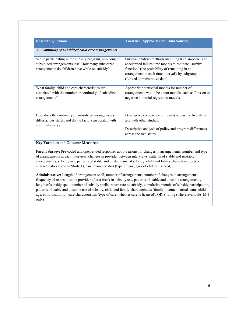| <b>Research Questions</b>                                | <b>Analytical Approach (and Data Source)</b>            |
|----------------------------------------------------------|---------------------------------------------------------|
|                                                          |                                                         |
| 3.3 Continuity of subsidized child care arrangements     |                                                         |
|                                                          |                                                         |
| While participating in the subsidy program, how long do  | Survival analysis methods including Kaplan-Meier and    |
| subsidized arrangements last? How many subsidized        | accelerated failure time models to estimate "survival"  |
| arrangements do children have while on subsidy?          | function" (the probability of remaining in an           |
|                                                          | arrangement at each time interval); by subgroup.        |
|                                                          | (Linked administrative data).                           |
| What family, child and care characteristics are          | Appropriate statistical models for number of            |
| associated with the number or continuity of subsidized   | arrangements would be count models, such as Poisson or  |
| arrangements?                                            | negative binomial regression models.                    |
|                                                          |                                                         |
|                                                          |                                                         |
| How does the continuity of subsidized arrangements       | Descriptive comparison of results across the two states |
| differ across states, and do the factors associated with | and with other studies.                                 |
| continuity vary?                                         |                                                         |
|                                                          | Descriptive analysis of policy and program differences  |
|                                                          | across the two states.                                  |
|                                                          |                                                         |

#### **Key Variables and Outcome Measures:**

Parent Survey: Pre-coded and open-ended responses about reasons for changes in arrangements, number and type of arrangements at each interview, changes in provider between interviews, patterns of stable and unstable arrangements, subsidy use, patterns of stable and unstable use of subsidy, child and family characteristics (see characteristics listed in Study 1), care characteristics (type of care, ages of children served)

**Administrative:** Length of arrangement spell, number of arrangements, number of changes to arrangements, frequency of return to same provider after a break in subsidy use, patterns of stable and unstable arrangements, length of subsidy spell, number of subsidy spells, return rate to subsidy, cumulative months of subsidy participation, patterns of stable and unstable use of subsidy, child and family characteristics (family income, marital status child age, child disability), care characteristics (type of care, whether care is licensed), QRIS rating (where available- MN only)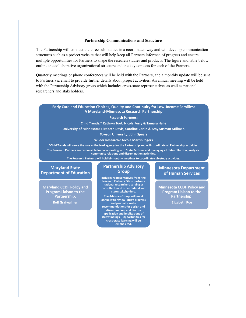#### **Partnership Communications and Structure**

The Partnership will conduct the three sub-studies in a coordinated way and will develop communication structures such as a project website that will help keep all Partners informed of progress and ensure multiple opportunities for Partners to shape the research studies and products. The figure and table below outline the collaborative organizational structure and the key contacts for each of the Partners.

Quarterly meetings or phone conferences will be held with the Partners, and a monthly update will be sent to Partners via email to provide further details about project activities. An annual meeting will be held with the Partnership Advisory group which includes cross-state representatives as well as national researchers and stakeholders.

#### **Early Care and Education Choices, Quality and Continuity for Low-Income Families: A Maryland-Minnesota Research Partnership**

#### **Research Partners:**

**Child Trends:\* Kathryn Tout, Nicole Forry & Tamara Halle**

**University of Minnesota: Elizabeth Davis, Caroline Carlin & Amy Susman-Stillman**

**Towson University: John Spears**

**Wilder Research-: Nicole MartinRogers**

**\*Child Trends will serve the role as the lead agency for the Partnership and will coordinate all Partnership activities. The Research Partners are responsible for collaborating with State Partners and managing all data collection, analysis, community relations and dissemination activities.** 

**The Research Partners will hold bi-monthly meetings to coordinate sub-study activities.**

# **Maryland State Department of Education**

**Maryland CCDF Policy and Program Liaison to the Partnership: Rolf Grafwallner**

#### **Partnership Advisory Group**

**Includes representatives from the Research Partners, State partners, national researchers serving as consultants and other federal and state stakeholders.**

**The Advisory Group will meet annually to review study progress**  and products, mal **recommendations for design and dissemination, and discuss application and implications of study findings . Opportunities for cross-state learning will be emphasized.**

## **Minnesota Department of Human Services**

**Minnesota CCDF Policy and Program Liaison to the Partnership: Elizabeth Roe**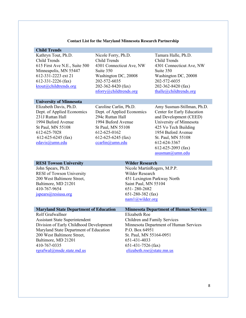#### **Contact List for the Maryland Minnesota Research Partnership**

#### **Child Trends**

Kathryn Tout, Ph.D. Child Trends 615 First Ave N.E., Suite 500 Minneapolis, MN 55447 612-331-2223 ext 21 612-331-2226 (fax) [ktout@childtrends.org](mailto:ktout@childtrends.org)

Nicole Forry, Ph.D. Child Trends 4301 Connecticut Ave, NW Suite 350 Washington DC, 20008 202-572-6035 202-362-8420 (fax) [nforry@childtrends.org](mailto:nforry@childtrends.org)

Tamara Halle, Ph.D. Child Trends 4301 Connecticut Ave, NW Suite 350 Washington DC, 20008 202-572-6035 202-362-8420 (fax) [thalle@childtrends.org](mailto:thalle@childtrends.org)

#### **University of Minnesota**

Elizabeth Davis, Ph.D. Dept. of Applied Economics 231J Ruttan Hall 1994 Buford Avenue St Paul, MN 55108 612-625-7028 612-625-6245 (fax) [edavis@umn.edu](mailto:edavis@umn.edu)

Caroline Carlin, Ph.D. Dept. of Applied Economics 294c Ruttan Hall 1994 Buford Avenue St Paul, MN 55108 612-625-0162 612-625-6245 (fax) [ccarlin@umn.edu](mailto:ccarlin@umn.edu)

Amy Susman-Stillman, Ph.D. Center for Early Education and Development (CEED) University of Minnesota 425 Vo Tech Building 1954 Buford Avenue St. Paul, MN 55108 612-624-3367 612-625-2093 (fax) [asusman@umn.edu](mailto:asusman@umn.edu)

#### **RESI Towson University <b>Wilder Research** John Spears, Ph.D. RESI of Towson University 200 West Baltimore Street, Baltimore, MD 21201 410-767-9654 [jspears@resiusa.org](mailto:jspears@resiusa.org) Nicole MartinRogers, M.P.P. Wilder Research 451 Lexington Parkway North Saint Paul, MN 55104 651- 280-2682 651-280-382 (fax) [nam1@wilder.org](mailto:nam1@wilder.org)

Rolf Grafwallner Assistant State Superintendent Division of Early Childhood Development Maryland State Department of Education 200 West Baltimore Street, Baltimore, MD 21201 410-767-0335 [rgrafwal@msde.state.md.us](mailto:rgrafwal@msde.state.md.us)

# **Maryland State Department of Education Minnesota Department of Human Services** Elizabeth Roe Children and Family Services Minnesota Department of Human Services P.O. Box 64951 St. Paul, MN 55164-0951 651-431-4033

651-431-7526 (fax)

[elizabeth.roe@state.mn.us](mailto:elizabeth.roe@state.mn.us)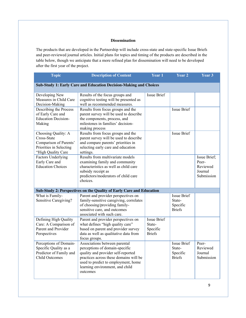#### **Dissemination**

The products that are developed in the Partnership will include cross-state and state-specific Issue Briefs and peer-reviewed journal articles. Initial plans for topics and timing of the products are described in the table below, though we anticipate that a more refined plan for dissemination will need to be developed after the first year of the project.

| <b>Topic</b>                                                                                                  | <b>Description of Content</b>                                                                                                                                                                                                         | Year 1                                                    | Year 2                                                    | Year 3                                                     |
|---------------------------------------------------------------------------------------------------------------|---------------------------------------------------------------------------------------------------------------------------------------------------------------------------------------------------------------------------------------|-----------------------------------------------------------|-----------------------------------------------------------|------------------------------------------------------------|
|                                                                                                               | <b>Sub-Study 1: Early Care and Education Decision-Making and Choices</b>                                                                                                                                                              |                                                           |                                                           |                                                            |
| Developing New<br>Measures in Child Care<br>Decision-Making                                                   | Results of the focus groups and<br>cognitive testing will be presented as<br>well as recommended measures.                                                                                                                            | <b>Issue Brief</b>                                        |                                                           |                                                            |
| Describing the Process<br>of Early Care and<br><b>Education Decision-</b><br>Making                           | Results from focus groups and the<br>parent survey will be used to describe<br>the components, process, and<br>milestones in families' decision-<br>making process                                                                    |                                                           | <b>Issue Brief</b>                                        |                                                            |
| Choosing Quality: A<br>Cross-State<br>Comparison of Parents'<br>Priorities in Selecting<br>"High Quality Care | Results from focus groups and the<br>parent survey will be used to describe<br>and compare parents' priorities in<br>selecting early care and education<br>settings.                                                                  |                                                           | <b>Issue Brief</b>                                        |                                                            |
| <b>Factors Underlying</b><br>Early Care and<br><b>Education Choices</b>                                       | Results from multivariate models<br>examining family and community<br>characteristics as well as child care<br>subsidy receipt as<br>predictors/moderators of child care<br>choices.                                                  |                                                           |                                                           | Issue Brief;<br>Peer-<br>Reviewed<br>Journal<br>Submission |
|                                                                                                               | Sub-Study 2: Perspectives on the Quality of Early Care and Education                                                                                                                                                                  |                                                           |                                                           |                                                            |
| What is Family-<br>Sensitive Caregiving?                                                                      | Parent and provider perspectives on<br>family-sensitive caregiving, correlates<br>of choosing/providing family-<br>sensitive care, and outcomes<br>associated with such care.                                                         |                                                           | <b>Issue Brief</b><br>State-<br>Specific<br><b>Briefs</b> |                                                            |
| Defining High Quality<br>Care: A Comparison of<br>Parent and Provider<br>Perspectives                         | Parent and provider perspectives on<br>what defines "high quality care"<br>based on parent and provider survey<br>data as well as qualitative data from<br>focus groups.                                                              | <b>Issue Brief</b><br>State-<br>Specific<br><b>Briefs</b> |                                                           |                                                            |
| Perceptions of Domain-<br>Specific Quality as a<br>Predictor of Family and<br>Child Outcomes                  | Associations between parental<br>perceptions of domain-specific<br>quality and provider self-reported<br>practices across these domains will be<br>used to predict to employment, home<br>learning environment, and child<br>outcomes |                                                           | <b>Issue Brief</b><br>State-<br>Specific<br><b>Briefs</b> | Peer-<br>Reviewed<br>Journal<br>Submission                 |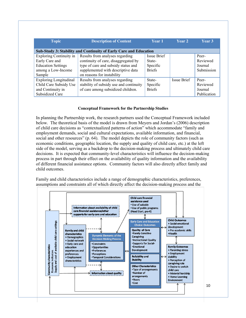| <b>Topic</b>                   | <b>Description of Content</b>                                     | <b>Year 1</b> | Year 2      | Year 3      |
|--------------------------------|-------------------------------------------------------------------|---------------|-------------|-------------|
|                                | Sub-Study 3: Stability and Continuity of Early Care and Education |               |             |             |
| <b>Exploring Continuity in</b> | Results from analyses regarding                                   | Issue Brief   |             | Peer-       |
| Early Care and                 | continuity of care, disaggregated by                              | State-        |             | Reviewed    |
| <b>Education Settings</b>      | type of care and subsidy status and                               | Specific      |             | Journal     |
| among a Low-Income             | supplemented with descriptive data                                | <b>Briefs</b> |             | Submission  |
| Sample                         | on reasons for instability                                        |               |             |             |
| <b>Exploring Longitudinal</b>  | Results from analyses regarding                                   | State-        | Issue Brief | Peer-       |
| Child Care Subsidy Use         | stability of subsidy use and continuity                           | Specific      |             | Reviewed    |
| and Continuity in              | of care among subsidized children.                                | <b>Briefs</b> |             | Journal     |
| Subsidized Care                |                                                                   |               |             | Publication |

# **Conceptual Framework for the Partnership Studies**

In planning the Partnership work, the research partners used the Conceptual Framework included below. The theoretical basis of the model is drawn from Meyers and Jordan's (2006) description of child care decisions as "contextualized patterns of action" which accommodate "family and employment demands, social and cultural expectations, available information, and financial, social and other resources" (p. 64). The model depicts the role of community factors (such as economic conditions, geographic location, the supply and quality of child care, etc.) at the left side of the model, serving as a backdrop to the decision-making process and ultimately child care decisions. It is expected that community-level characteristics will influence the decision-making process in part through their effect on the availability of quality information and the availability of different financial assistance options. Community factors will also directly affect family and child outcomes.

Family and child characteristics include a range of demographic characteristics, preferences, assumptions and constraints all of which directly affect the decision-making process and the